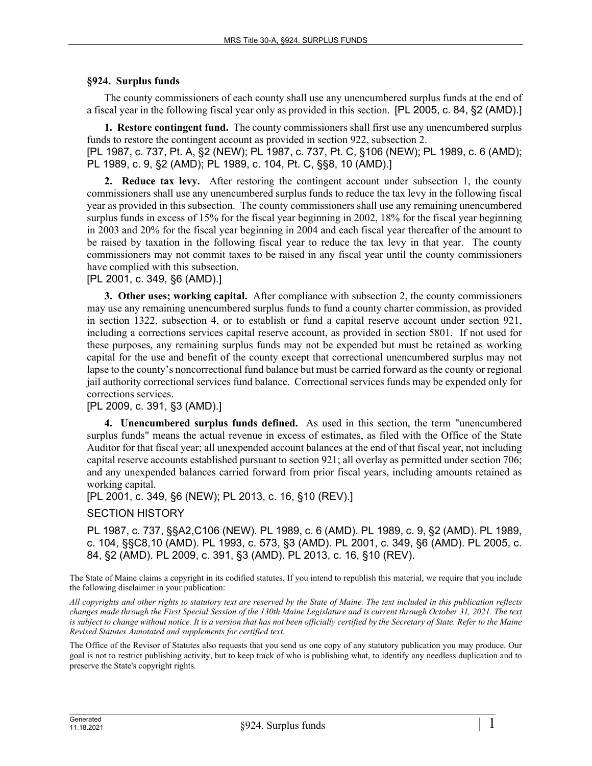## **§924. Surplus funds**

The county commissioners of each county shall use any unencumbered surplus funds at the end of a fiscal year in the following fiscal year only as provided in this section. [PL 2005, c. 84, §2 (AMD).]

**1. Restore contingent fund.** The county commissioners shall first use any unencumbered surplus funds to restore the contingent account as provided in section 922, subsection 2.

[PL 1987, c. 737, Pt. A, §2 (NEW); PL 1987, c. 737, Pt. C, §106 (NEW); PL 1989, c. 6 (AMD); PL 1989, c. 9, §2 (AMD); PL 1989, c. 104, Pt. C, §§8, 10 (AMD).]

**2. Reduce tax levy.** After restoring the contingent account under subsection 1, the county commissioners shall use any unencumbered surplus funds to reduce the tax levy in the following fiscal year as provided in this subsection. The county commissioners shall use any remaining unencumbered surplus funds in excess of 15% for the fiscal year beginning in 2002, 18% for the fiscal year beginning in 2003 and 20% for the fiscal year beginning in 2004 and each fiscal year thereafter of the amount to be raised by taxation in the following fiscal year to reduce the tax levy in that year. The county commissioners may not commit taxes to be raised in any fiscal year until the county commissioners have complied with this subsection.

[PL 2001, c. 349, §6 (AMD).]

**3. Other uses; working capital.** After compliance with subsection 2, the county commissioners may use any remaining unencumbered surplus funds to fund a county charter commission, as provided in section 1322, subsection 4, or to establish or fund a capital reserve account under section 921, including a corrections services capital reserve account, as provided in section 5801. If not used for these purposes, any remaining surplus funds may not be expended but must be retained as working capital for the use and benefit of the county except that correctional unencumbered surplus may not lapse to the county's noncorrectional fund balance but must be carried forward as the county or regional jail authority correctional services fund balance. Correctional services funds may be expended only for corrections services.

## [PL 2009, c. 391, §3 (AMD).]

**4. Unencumbered surplus funds defined.** As used in this section, the term "unencumbered surplus funds" means the actual revenue in excess of estimates, as filed with the Office of the State Auditor for that fiscal year; all unexpended account balances at the end of that fiscal year, not including capital reserve accounts established pursuant to section 921; all overlay as permitted under section 706; and any unexpended balances carried forward from prior fiscal years, including amounts retained as working capital.

[PL 2001, c. 349, §6 (NEW); PL 2013, c. 16, §10 (REV).]

## SECTION HISTORY

PL 1987, c. 737, §§A2,C106 (NEW). PL 1989, c. 6 (AMD). PL 1989, c. 9, §2 (AMD). PL 1989, c. 104, §§C8,10 (AMD). PL 1993, c. 573, §3 (AMD). PL 2001, c. 349, §6 (AMD). PL 2005, c. 84, §2 (AMD). PL 2009, c. 391, §3 (AMD). PL 2013, c. 16, §10 (REV).

The State of Maine claims a copyright in its codified statutes. If you intend to republish this material, we require that you include the following disclaimer in your publication:

*All copyrights and other rights to statutory text are reserved by the State of Maine. The text included in this publication reflects changes made through the First Special Session of the 130th Maine Legislature and is current through October 31, 2021. The text*  is subject to change without notice. It is a version that has not been officially certified by the Secretary of State. Refer to the Maine *Revised Statutes Annotated and supplements for certified text.*

The Office of the Revisor of Statutes also requests that you send us one copy of any statutory publication you may produce. Our goal is not to restrict publishing activity, but to keep track of who is publishing what, to identify any needless duplication and to preserve the State's copyright rights.